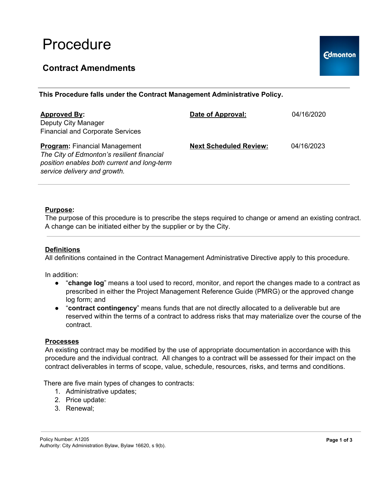## Procedure

## **Contract Amendments**

**This Procedure falls under the Contract Management Administrative Policy.**

| <b>Approved By:</b><br>Deputy City Manager<br><b>Financial and Corporate Services</b>                                                                             | Date of Approval:             | 04/16/2020 |
|-------------------------------------------------------------------------------------------------------------------------------------------------------------------|-------------------------------|------------|
| <b>Program:</b> Financial Management<br>The City of Edmonton's resilient financial<br>position enables both current and long-term<br>service delivery and growth. | <b>Next Scheduled Review:</b> | 04/16/2023 |

#### **Purpose:**

The purpose of this procedure is to prescribe the steps required to change or amend an existing contract. A change can be initiated either by the supplier or by the City.

#### **Definitions**

All definitions contained in the Contract Management Administrative Directive apply to this procedure.

In addition:

- "**change log**" means a tool used to record, monitor, and report the changes made to a contract as prescribed in either the Project Management Reference Guide (PMRG) or the approved change log form; and
- "**contract contingency**" means funds that are not directly allocated to a deliverable but are reserved within the terms of a contract to address risks that may materialize over the course of the contract.

#### **Processes**

An existing contract may be modified by the use of appropriate documentation in accordance with this procedure and the individual contract. All changes to a contract will be assessed for their impact on the contract deliverables in terms of scope, value, schedule, resources, risks, and terms and conditions.

There are five main types of changes to contracts:

- 1. Administrative updates;
- 2. Price update:
- 3. Renewal;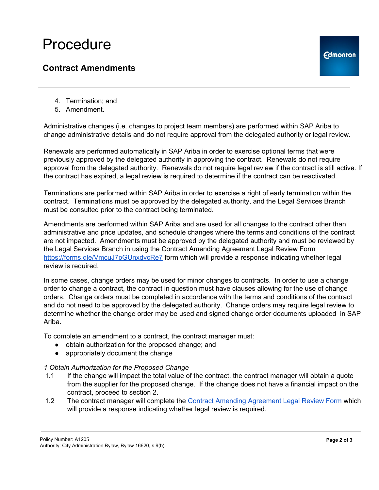# Procedure

## **Contract Amendments**

- 4. Termination; and
- 5. Amendment.

Administrative changes (i.e. changes to project team members) are performed within SAP Ariba to change administrative details and do not require approval from the delegated authority or legal review.

Renewals are performed automatically in SAP Ariba in order to exercise optional terms that were previously approved by the delegated authority in approving the contract. Renewals do not require approval from the delegated authority. Renewals do not require legal review if the contract is still active. If the contract has expired, a legal review is required to determine if the contract can be reactivated.

Terminations are performed within SAP Ariba in order to exercise a right of early termination within the contract. Terminations must be approved by the delegated authority, and the Legal Services Branch must be consulted prior to the contract being terminated.

Amendments are performed within SAP Ariba and are used for all changes to the contract other than administrative and price updates, and schedule changes where the terms and conditions of the contract are not impacted. Amendments must be approved by the delegated authority and must be reviewed by the Legal Services Branch in using the Contract Amending Agreement Legal Review Form <https://forms.gle/VmcuJ7pGUnxdvcRe7> form which will provide a response indicating whether legal review is required.

In some cases, change orders may be used for minor changes to contracts. In order to use a change order to change a contract, the contract in question must have clauses allowing for the use of change orders. Change orders must be completed in accordance with the terms and conditions of the contract and do not need to be approved by the delegated authority. Change orders may require legal review to determine whether the change order may be used and signed change order documents uploaded in SAP Ariba.

To complete an amendment to a contract, the contract manager must:

- obtain authorization for the proposed change; and
- appropriately document the change

### *1 Obtain Authorization for the Proposed Change*

- 1.1 If the change will impact the total value of the contract, the contract manager will obtain a quote from the supplier for the proposed change. If the change does not have a financial impact on the contract, proceed to section 2.
- 1.2 The contract manager will complete the Contract Amending [Agreement](https://docs.google.com/forms/d/e/1FAIpQLSdh0MuGcgzZ_uDLMcSl9NCWMJO1ykvJozA0v4iZmuuR64s_qA/viewform) Legal Review Form which will provide a response indicating whether legal review is required.